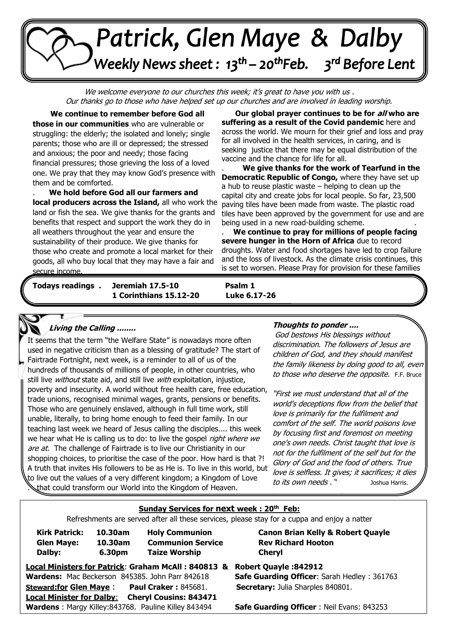## Patrick, Glen Maye & Dalby - +v++++ -\*\*\*\*\* Weekly News sheet: 13<sup>th</sup> – 20<sup>th</sup>Feb. 3<sup>rd</sup> Before Lent

*We welcome everyone to our churches this week; it's great to have you with us .*<br>Our thanks as to these who have have haloed est up our shumber and are involved in loading Our thanks go to those who have helped set up our churches and are involved in leading worship.

 **We continue to remember before God all those in our communities** who are vulnerable or struggling: the elderly; the isolated and lonely; single parents; those who are ill or depressed; the stressed and anxious; the poor and needy; those facing financial pressures; those grieving the loss of a loved one. We pray that they may know God's presence with them and be comforted.

**iocal producers across the Island,** all who work the<br>land or fish the sea. We give thanks for the grants and benefits that respect and support the work they do in an weathers throughout the year and ensure the<br>sustainability of their produce. We give thanks for . **We hold before God all our farmers and local producers across the Island,** all who work the all weathers throughout the year and ensure the those who create and promote a local market for their goods, all who buy local that they may have a fair and secure income.

*Our global prayer continues to be for all who are* **suffering as a result of the Covid pandemic** here and across the world. We mourn for their grief and loss and pray for all involved in the health services, in caring, and is seeking justice that there may be equal distribution of the vaccine and the chance for life for all.

. **We give thanks for the work of Tearfund in the Democratic Republic of Congo,** where they have set up a hub to reuse plastic waste – helping to clean up the capital city and create jobs for local people. So far, 23,500 paving tiles have been made from waste. The plastic road tiles have been approved by the government for use and are being used in a new road-building scheme. .

. **We continue to pray for millions of people facing severe hunger in the Horn of Africa** due to record droughts. Water and food shortages have led to crop failure and the loss of livestock. As the climate crisis continues, this is set to worsen. Please Pray for provision for these families

*June: Trinity Sunday*  **1 Corinthians 15.12-20 Luke 6.17-26**   L **Todays readings . Jeremiah 17.5-10 Psalm 1**

.

# 

#### **Living the Calling ........**

**Eveny the canny .......**<br>It seems that the term "the Welfare State" is nowadays more often  Fairtrade Fortnight, next week, is a reminder to all of us of the  poverty and insecurity. A world without free health care, free education,  trade unions, recognised minimal wages, grants, pensions or benefits. used in negative criticism than as a blessing of gratitude? The start of **.**  hundreds of thousands of millions of people, in other countries, who still live without state aid, and still live with exploitation, injustice, Those who are genuinely enslaved, although in full time work, still unable, literally, to bring home enough to feed their family. In our teaching last week we heard of Jesus calling the disciples.... this week we hear what He is calling us to do: to live the gospel right where we are at. The challenge of Fairtrade is to live our Christianity in our shopping choices, to prioritise the case of the poor. How hard is that ?! A truth that invites His followers to be as He is. To live in this world, but to live out the values of a very different kingdom; a Kingdom of Love . that could transform our World into the Kingdom of Heaven.

#### . **Thoughts to ponder ....**

God bestows His blessings without discrimination. The followers of Jesus are children of God, and they should manifest the family likeness by doing good to all, even to those who deserve the opposite. F.F. Bruce

"First we must understand that all of the world's deceptions flow from the belief that love is primarily for the fulfilment and comfort of the self. The world poisons love by focusing first and foremost on meeting one's own needs. Christ taught that love is not for the fulfilment of the self but for the Glory of God and the food of others. True love is selfless. It gives; it sacrifices; it dies to its own needs . " Joshua Harris.

#### **Sunday Services for next week : 20th Feb:**

Refreshments are served after all these services, please stay for a cuppa and enjoy a natter

| <b>Kirk Patrick:</b>        | 10.30am           | <b>Holy Communion</b>                                  |
|-----------------------------|-------------------|--------------------------------------------------------|
| <b>Glen Maye:</b><br>Dalby: | 10.30am<br>6.30pm | <b>Communion Service</b><br><b>Taize Worship</b>       |
|                             |                   | ocal Ministers for Patrick: Graham McAll: 840813.      |
|                             |                   | $\mathbf{M}$ is $\mathbf{M}$ is a series in a capacity |

**Canon Brian Kelly & Robert Quayle Rev Richard Hooton Cheryl** 

. .

**Wardens:** Mac Beckerson 845385. John Parr 842618 **Safe Guarding Officer**: Sarah Hedley : 361763 **Steward:for Glen Maye** : **Paul Craker :** 845681. **Secretary:** Julia Sharples 840801. **Local Minister for Dalby**: **Cheryl Cousins: 843471 Wardens** : Margy Killey:843768. Pauline Killey 843494 **Safe Guarding Officer** : Neil Evans: 843253

#### **Local Ministers for Patrick**: **Graham McAll : 840813 & Robert Quayle :842912**